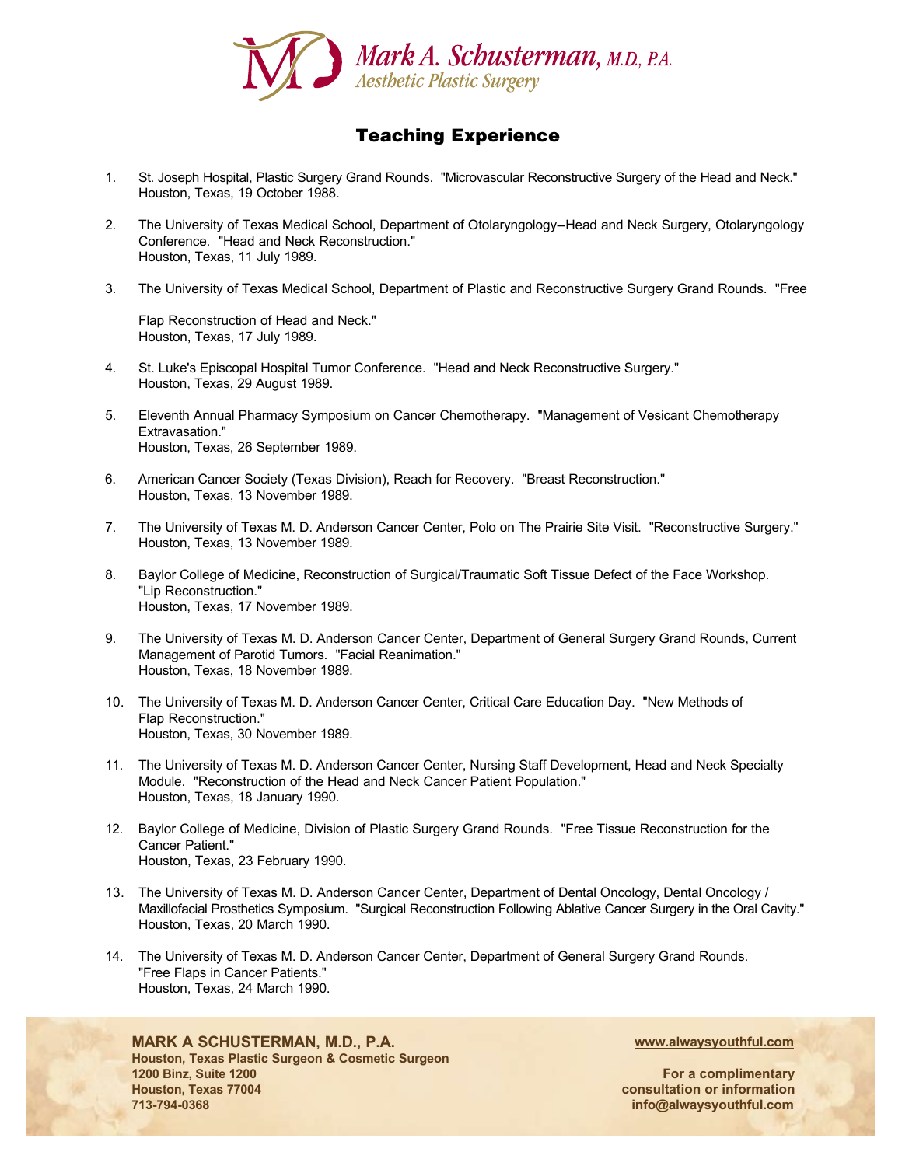

# Teaching Experience

- 1. St. Joseph Hospital, Plastic Surgery Grand Rounds. "Microvascular Reconstructive Surgery of the Head and Neck." Houston, Texas, 19 October 1988.
- 2. The University of Texas Medical School, Department of Otolaryngology--Head and Neck Surgery, Otolaryngology Conference. "Head and Neck Reconstruction." Houston, Texas, 11 July 1989.
- 3. The University of Texas Medical School, Department of Plastic and Reconstructive Surgery Grand Rounds. "Free

Flap Reconstruction of Head and Neck." Houston, Texas, 17 July 1989.

- 4. St. Luke's Episcopal Hospital Tumor Conference. "Head and Neck Reconstructive Surgery." Houston, Texas, 29 August 1989.
- 5. Eleventh Annual Pharmacy Symposium on Cancer Chemotherapy. "Management of Vesicant Chemotherapy Extravasation." Houston, Texas, 26 September 1989.
- 6. American Cancer Society (Texas Division), Reach for Recovery. "Breast Reconstruction." Houston, Texas, 13 November 1989.
- 7. The University of Texas M. D. Anderson Cancer Center, Polo on The Prairie Site Visit. "Reconstructive Surgery." Houston, Texas, 13 November 1989.
- 8. Baylor College of Medicine, Reconstruction of Surgical/Traumatic Soft Tissue Defect of the Face Workshop. "Lip Reconstruction." Houston, Texas, 17 November 1989.
- 9. The University of Texas M. D. Anderson Cancer Center, Department of General Surgery Grand Rounds, Current Management of Parotid Tumors. "Facial Reanimation." Houston, Texas, 18 November 1989.
- 10. The University of Texas M. D. Anderson Cancer Center, Critical Care Education Day. "New Methods of Flap Reconstruction." Houston, Texas, 30 November 1989.
- 11. The University of Texas M. D. Anderson Cancer Center, Nursing Staff Development, Head and Neck Specialty Module. "Reconstruction of the Head and Neck Cancer Patient Population." Houston, Texas, 18 January 1990.
- 12. Baylor College of Medicine, Division of Plastic Surgery Grand Rounds. "Free Tissue Reconstruction for the Cancer Patient." Houston, Texas, 23 February 1990.
- 13. The University of Texas M. D. Anderson Cancer Center, Department of Dental Oncology, Dental Oncology / Maxillofacial Prosthetics Symposium. "Surgical Reconstruction Following Ablative Cancer Surgery in the Oral Cavity." Houston, Texas, 20 March 1990.
- 14. The University of Texas M. D. Anderson Cancer Center, Department of General Surgery Grand Rounds. "Free Flaps in Cancer Patients." Houston, Texas, 24 March 1990.

## **MARK A SCHUSTERMAN, M.D., P.A.**

**Houston, Texas Plastic Surgeon & Cosmetic Surgeon 1200 Binz, Suite 1200 Houston, Texas 77004 713-794-0368**

**www.alwaysyouthful.com**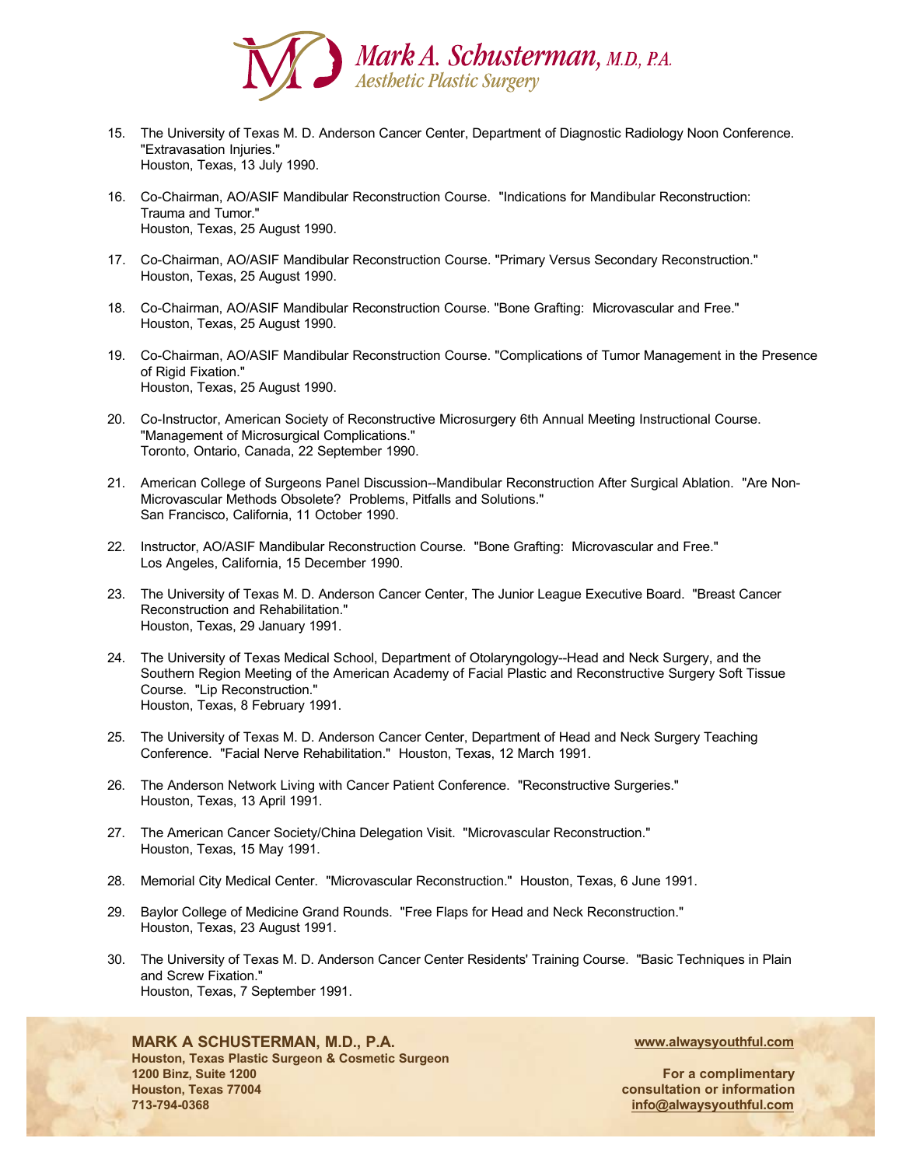

- 15. The University of Texas M. D. Anderson Cancer Center, Department of Diagnostic Radiology Noon Conference. "Extravasation Injuries." Houston, Texas, 13 July 1990.
- 16. Co-Chairman, AO/ASIF Mandibular Reconstruction Course. "Indications for Mandibular Reconstruction: Trauma and Tumor." Houston, Texas, 25 August 1990.
- 17. Co-Chairman, AO/ASIF Mandibular Reconstruction Course. "Primary Versus Secondary Reconstruction." Houston, Texas, 25 August 1990.
- 18. Co-Chairman, AO/ASIF Mandibular Reconstruction Course. "Bone Grafting: Microvascular and Free." Houston, Texas, 25 August 1990.
- 19. Co-Chairman, AO/ASIF Mandibular Reconstruction Course. "Complications of Tumor Management in the Presence of Rigid Fixation." Houston, Texas, 25 August 1990.
- 20. Co-Instructor, American Society of Reconstructive Microsurgery 6th Annual Meeting Instructional Course. "Management of Microsurgical Complications." Toronto, Ontario, Canada, 22 September 1990.
- 21. American College of Surgeons Panel Discussion--Mandibular Reconstruction After Surgical Ablation. "Are Non-Microvascular Methods Obsolete? Problems, Pitfalls and Solutions." San Francisco, California, 11 October 1990.
- 22. Instructor, AO/ASIF Mandibular Reconstruction Course. "Bone Grafting: Microvascular and Free." Los Angeles, California, 15 December 1990.
- 23. The University of Texas M. D. Anderson Cancer Center, The Junior League Executive Board. "Breast Cancer Reconstruction and Rehabilitation." Houston, Texas, 29 January 1991.
- 24. The University of Texas Medical School, Department of Otolaryngology--Head and Neck Surgery, and the Southern Region Meeting of the American Academy of Facial Plastic and Reconstructive Surgery Soft Tissue Course. "Lip Reconstruction." Houston, Texas, 8 February 1991.
- 25. The University of Texas M. D. Anderson Cancer Center, Department of Head and Neck Surgery Teaching Conference. "Facial Nerve Rehabilitation." Houston, Texas, 12 March 1991.
- 26. The Anderson Network Living with Cancer Patient Conference. "Reconstructive Surgeries." Houston, Texas, 13 April 1991.
- 27. The American Cancer Society/China Delegation Visit. "Microvascular Reconstruction." Houston, Texas, 15 May 1991.
- 28. Memorial City Medical Center. "Microvascular Reconstruction." Houston, Texas, 6 June 1991.
- 29. Baylor College of Medicine Grand Rounds. "Free Flaps for Head and Neck Reconstruction." Houston, Texas, 23 August 1991.
- 30. The University of Texas M. D. Anderson Cancer Center Residents' Training Course. "Basic Techniques in Plain and Screw Fixation." Houston, Texas, 7 September 1991.

### **MARK A SCHUSTERMAN, M.D., P.A.**

**Houston, Texas Plastic Surgeon & Cosmetic Surgeon 1200 Binz, Suite 1200 Houston, Texas 77004 713-794-0368**

**www.alwaysyouthful.com**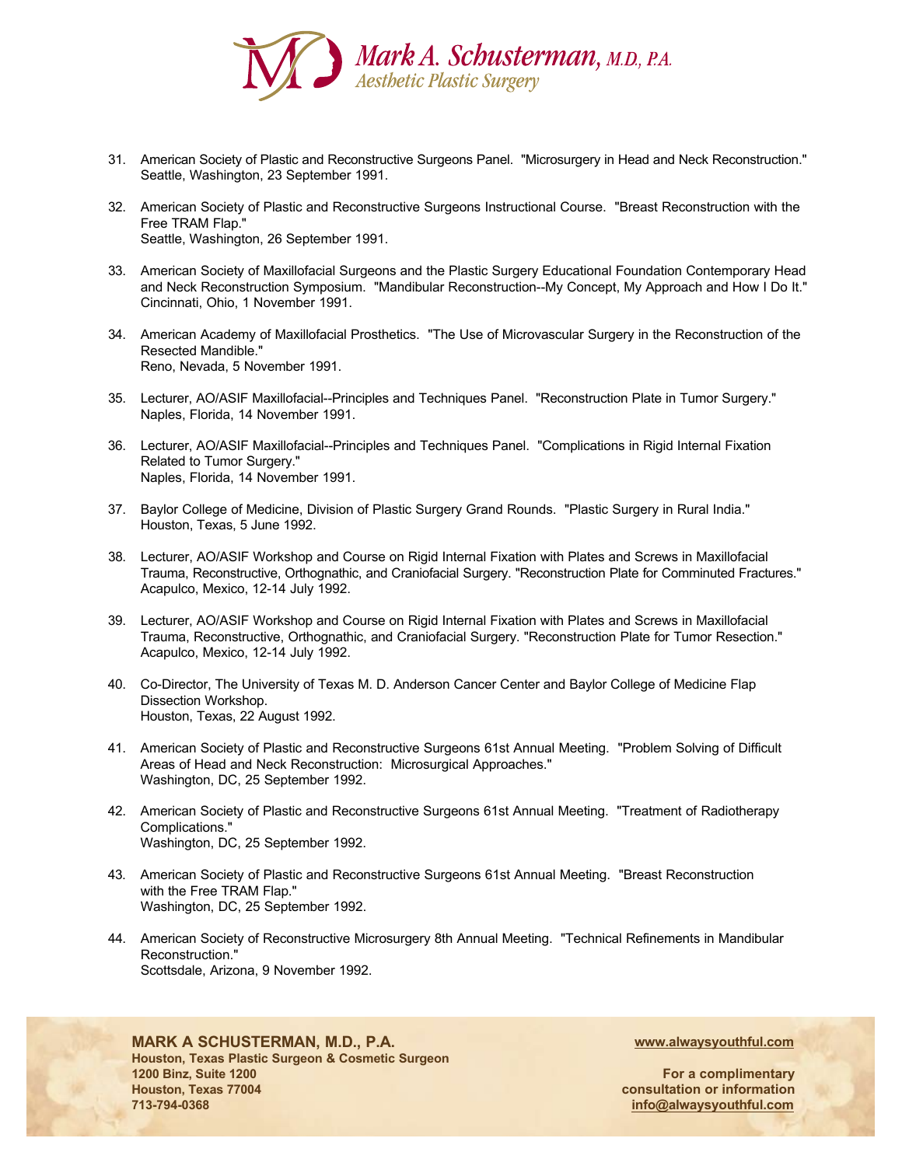

- 31. American Society of Plastic and Reconstructive Surgeons Panel. "Microsurgery in Head and Neck Reconstruction." Seattle, Washington, 23 September 1991.
- 32. American Society of Plastic and Reconstructive Surgeons Instructional Course. "Breast Reconstruction with the Free TRAM Flap." Seattle, Washington, 26 September 1991.
- 33. American Society of Maxillofacial Surgeons and the Plastic Surgery Educational Foundation Contemporary Head and Neck Reconstruction Symposium. "Mandibular Reconstruction--My Concept, My Approach and How I Do It." Cincinnati, Ohio, 1 November 1991.
- 34. American Academy of Maxillofacial Prosthetics. "The Use of Microvascular Surgery in the Reconstruction of the Resected Mandible." Reno, Nevada, 5 November 1991.
- 35. Lecturer, AO/ASIF Maxillofacial--Principles and Techniques Panel. "Reconstruction Plate in Tumor Surgery." Naples, Florida, 14 November 1991.
- 36. Lecturer, AO/ASIF Maxillofacial--Principles and Techniques Panel. "Complications in Rigid Internal Fixation Related to Tumor Surgery." Naples, Florida, 14 November 1991.
- 37. Baylor College of Medicine, Division of Plastic Surgery Grand Rounds. "Plastic Surgery in Rural India." Houston, Texas, 5 June 1992.
- 38. Lecturer, AO/ASIF Workshop and Course on Rigid Internal Fixation with Plates and Screws in Maxillofacial Trauma, Reconstructive, Orthognathic, and Craniofacial Surgery. "Reconstruction Plate for Comminuted Fractures." Acapulco, Mexico, 12-14 July 1992.
- 39. Lecturer, AO/ASIF Workshop and Course on Rigid Internal Fixation with Plates and Screws in Maxillofacial Trauma, Reconstructive, Orthognathic, and Craniofacial Surgery. "Reconstruction Plate for Tumor Resection." Acapulco, Mexico, 12-14 July 1992.
- 40. Co-Director, The University of Texas M. D. Anderson Cancer Center and Baylor College of Medicine Flap Dissection Workshop. Houston, Texas, 22 August 1992.
- 41. American Society of Plastic and Reconstructive Surgeons 61st Annual Meeting. "Problem Solving of Difficult Areas of Head and Neck Reconstruction: Microsurgical Approaches." Washington, DC, 25 September 1992.
- 42. American Society of Plastic and Reconstructive Surgeons 61st Annual Meeting. "Treatment of Radiotherapy Complications." Washington, DC, 25 September 1992.
- 43. American Society of Plastic and Reconstructive Surgeons 61st Annual Meeting. "Breast Reconstruction with the Free TRAM Flap." Washington, DC, 25 September 1992.
- 44. American Society of Reconstructive Microsurgery 8th Annual Meeting. "Technical Refinements in Mandibular Reconstruction." Scottsdale, Arizona, 9 November 1992.



# **MARK A SCHUSTERMAN, M.D., P.A.**

**Houston, Texas Plastic Surgeon & Cosmetic Surgeon 1200 Binz, Suite 1200 Houston, Texas 77004 713-794-0368**

**www.alwaysyouthful.com**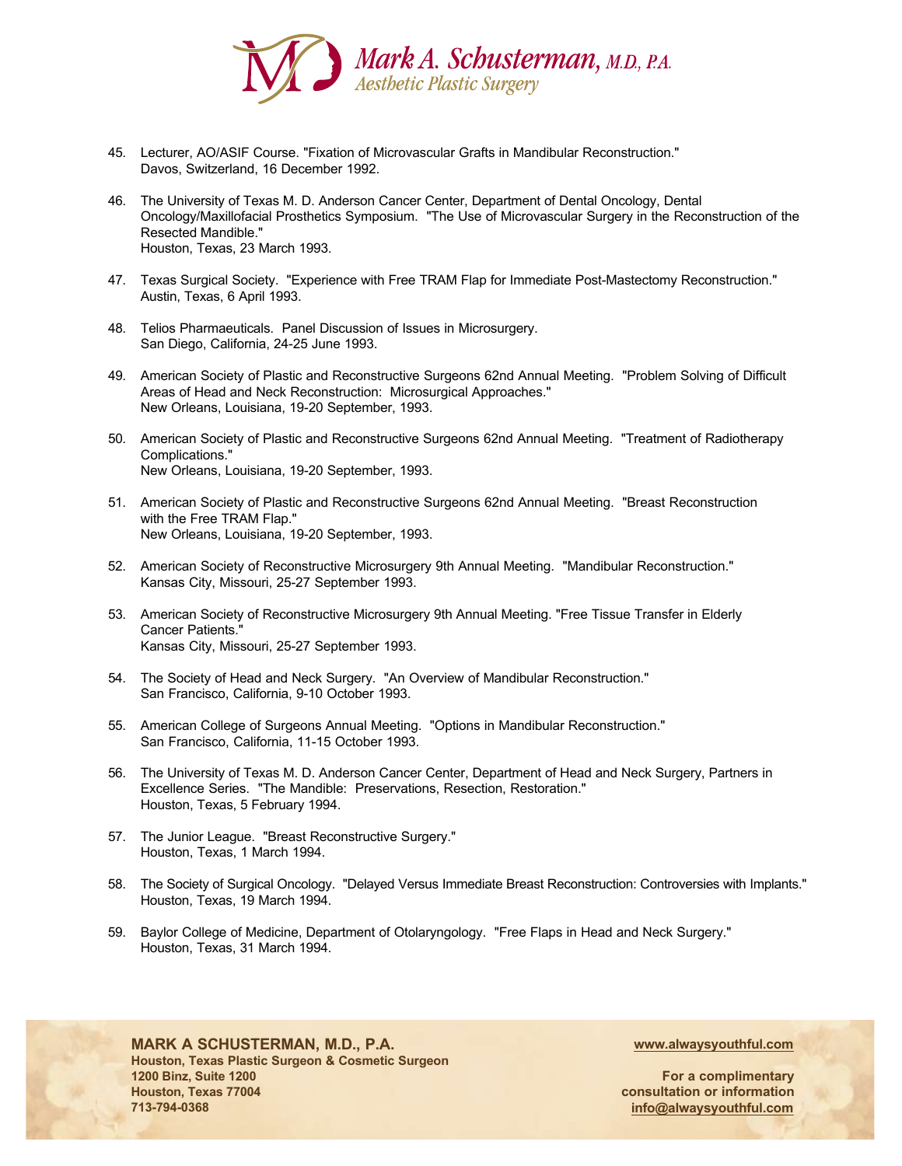

- 45. Lecturer, AO/ASIF Course. "Fixation of Microvascular Grafts in Mandibular Reconstruction." Davos, Switzerland, 16 December 1992.
- 46. The University of Texas M. D. Anderson Cancer Center, Department of Dental Oncology, Dental Oncology/Maxillofacial Prosthetics Symposium. "The Use of Microvascular Surgery in the Reconstruction of the Resected Mandible." Houston, Texas, 23 March 1993.
- 47. Texas Surgical Society. "Experience with Free TRAM Flap for Immediate Post-Mastectomy Reconstruction." Austin, Texas, 6 April 1993.
- 48. Telios Pharmaeuticals. Panel Discussion of Issues in Microsurgery. San Diego, California, 24-25 June 1993.
- 49. American Society of Plastic and Reconstructive Surgeons 62nd Annual Meeting. "Problem Solving of Difficult Areas of Head and Neck Reconstruction: Microsurgical Approaches." New Orleans, Louisiana, 19-20 September, 1993.
- 50. American Society of Plastic and Reconstructive Surgeons 62nd Annual Meeting. "Treatment of Radiotherapy Complications." New Orleans, Louisiana, 19-20 September, 1993.
- 51. American Society of Plastic and Reconstructive Surgeons 62nd Annual Meeting. "Breast Reconstruction with the Free TRAM Flap." New Orleans, Louisiana, 19-20 September, 1993.
- 52. American Society of Reconstructive Microsurgery 9th Annual Meeting. "Mandibular Reconstruction." Kansas City, Missouri, 25-27 September 1993.
- 53. American Society of Reconstructive Microsurgery 9th Annual Meeting. "Free Tissue Transfer in Elderly Cancer Patients." Kansas City, Missouri, 25-27 September 1993.
- 54. The Society of Head and Neck Surgery. "An Overview of Mandibular Reconstruction." San Francisco, California, 9-10 October 1993.
- 55. American College of Surgeons Annual Meeting. "Options in Mandibular Reconstruction." San Francisco, California, 11-15 October 1993.
- 56. The University of Texas M. D. Anderson Cancer Center, Department of Head and Neck Surgery, Partners in Excellence Series. "The Mandible: Preservations, Resection, Restoration." Houston, Texas, 5 February 1994.
- 57. The Junior League. "Breast Reconstructive Surgery." Houston, Texas, 1 March 1994.
- 58. The Society of Surgical Oncology. "Delayed Versus Immediate Breast Reconstruction: Controversies with Implants." Houston, Texas, 19 March 1994.
- 59. Baylor College of Medicine, Department of Otolaryngology. "Free Flaps in Head and Neck Surgery." Houston, Texas, 31 March 1994.



**MARK A SCHUSTERMAN, M.D., P.A. Houston, Texas Plastic Surgeon & Cosmetic Surgeon 1200 Binz, Suite 1200 Houston, Texas 77004 713-794-0368**

**www.alwaysyouthful.com**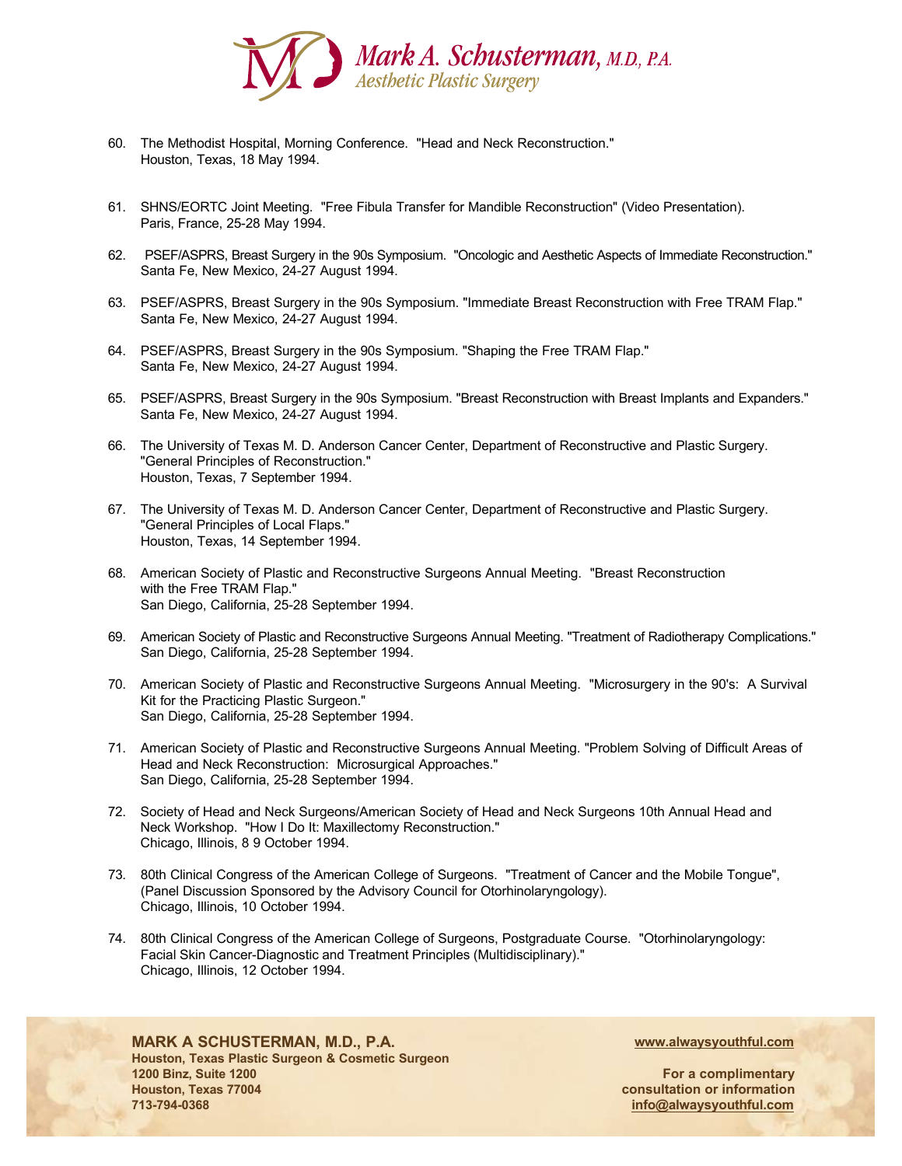

- 60. The Methodist Hospital, Morning Conference. "Head and Neck Reconstruction." Houston, Texas, 18 May 1994.
- 61. SHNS/EORTC Joint Meeting. "Free Fibula Transfer for Mandible Reconstruction" (Video Presentation). Paris, France, 25-28 May 1994.
- 62. PSEF/ASPRS, Breast Surgery in the 90s Symposium. "Oncologic and Aesthetic Aspects of Immediate Reconstruction." Santa Fe, New Mexico, 24-27 August 1994.
- 63. PSEF/ASPRS, Breast Surgery in the 90s Symposium. "Immediate Breast Reconstruction with Free TRAM Flap." Santa Fe, New Mexico, 24-27 August 1994.
- 64. PSEF/ASPRS, Breast Surgery in the 90s Symposium. "Shaping the Free TRAM Flap." Santa Fe, New Mexico, 24-27 August 1994.
- 65. PSEF/ASPRS, Breast Surgery in the 90s Symposium. "Breast Reconstruction with Breast Implants and Expanders." Santa Fe, New Mexico, 24-27 August 1994.
- 66. The University of Texas M. D. Anderson Cancer Center, Department of Reconstructive and Plastic Surgery. "General Principles of Reconstruction." Houston, Texas, 7 September 1994.
- 67. The University of Texas M. D. Anderson Cancer Center, Department of Reconstructive and Plastic Surgery. "General Principles of Local Flaps." Houston, Texas, 14 September 1994.
- 68. American Society of Plastic and Reconstructive Surgeons Annual Meeting. "Breast Reconstruction with the Free TRAM Flap." San Diego, California, 25-28 September 1994.
- 69. American Society of Plastic and Reconstructive Surgeons Annual Meeting. "Treatment of Radiotherapy Complications." San Diego, California, 25-28 September 1994.
- 70. American Society of Plastic and Reconstructive Surgeons Annual Meeting. "Microsurgery in the 90's: A Survival Kit for the Practicing Plastic Surgeon." San Diego, California, 25-28 September 1994.
- 71. American Society of Plastic and Reconstructive Surgeons Annual Meeting. "Problem Solving of Difficult Areas of Head and Neck Reconstruction: Microsurgical Approaches." San Diego, California, 25-28 September 1994.
- 72. Society of Head and Neck Surgeons/American Society of Head and Neck Surgeons 10th Annual Head and Neck Workshop. "How I Do It: Maxillectomy Reconstruction." Chicago, Illinois, 8 9 October 1994.
- 73. 80th Clinical Congress of the American College of Surgeons. "Treatment of Cancer and the Mobile Tongue", (Panel Discussion Sponsored by the Advisory Council for Otorhinolaryngology). Chicago, Illinois, 10 October 1994.
- 74. 80th Clinical Congress of the American College of Surgeons, Postgraduate Course. "Otorhinolaryngology: Facial Skin Cancer-Diagnostic and Treatment Principles (Multidisciplinary)." Chicago, Illinois, 12 October 1994.



**MARK A SCHUSTERMAN, M.D., P.A. Houston, Texas Plastic Surgeon & Cosmetic Surgeon 1200 Binz, Suite 1200 Houston, Texas 77004 713-794-0368**

**www.alwaysyouthful.com**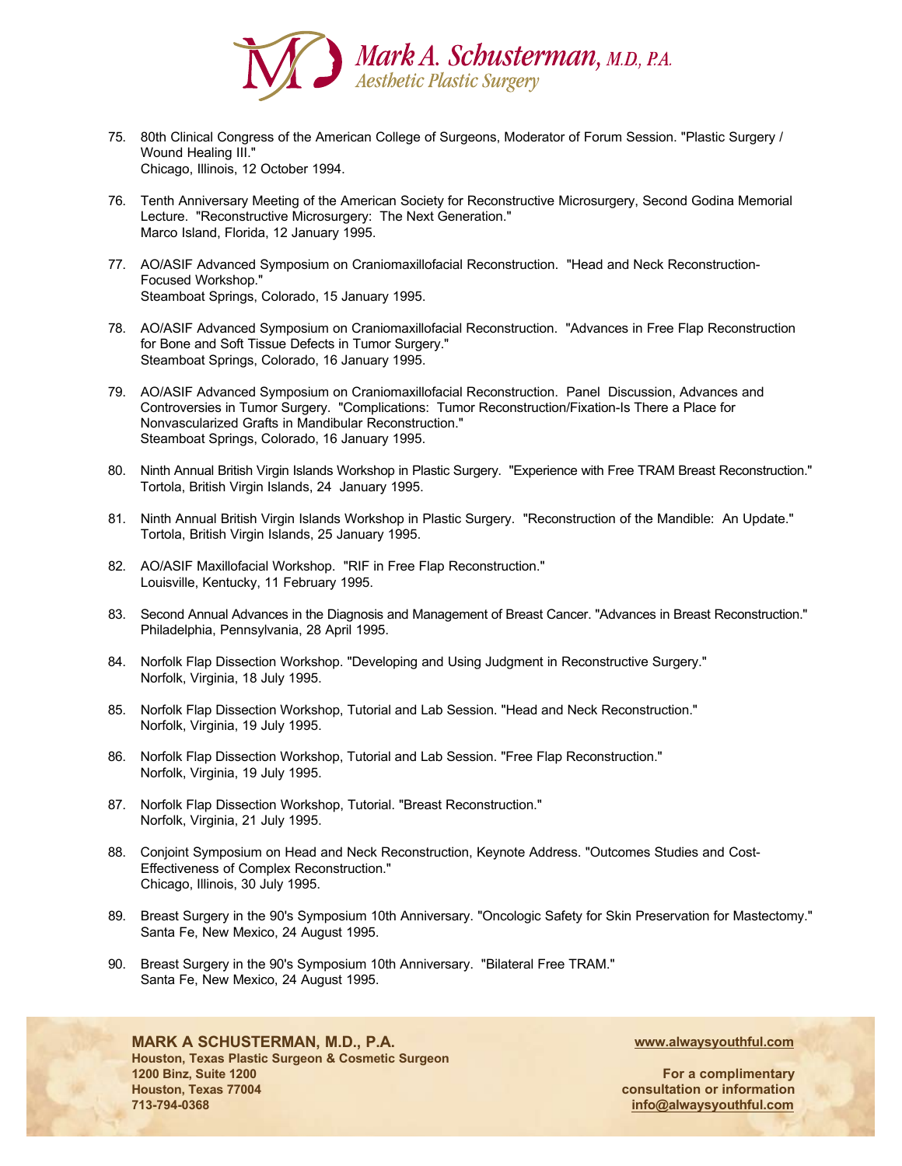

- 75. 80th Clinical Congress of the American College of Surgeons, Moderator of Forum Session. "Plastic Surgery / Wound Healing III." Chicago, Illinois, 12 October 1994.
- 76. Tenth Anniversary Meeting of the American Society for Reconstructive Microsurgery, Second Godina Memorial Lecture. "Reconstructive Microsurgery: The Next Generation." Marco Island, Florida, 12 January 1995.
- 77. AO/ASIF Advanced Symposium on Craniomaxillofacial Reconstruction. "Head and Neck Reconstruction-Focused Workshop." Steamboat Springs, Colorado, 15 January 1995.
- 78. AO/ASIF Advanced Symposium on Craniomaxillofacial Reconstruction. "Advances in Free Flap Reconstruction for Bone and Soft Tissue Defects in Tumor Surgery." Steamboat Springs, Colorado, 16 January 1995.
- 79. AO/ASIF Advanced Symposium on Craniomaxillofacial Reconstruction. Panel Discussion, Advances and Controversies in Tumor Surgery. "Complications: Tumor Reconstruction/Fixation-Is There a Place for Nonvascularized Grafts in Mandibular Reconstruction." Steamboat Springs, Colorado, 16 January 1995.
- 80. Ninth Annual British Virgin Islands Workshop in Plastic Surgery. "Experience with Free TRAM Breast Reconstruction." Tortola, British Virgin Islands, 24 January 1995.
- 81. Ninth Annual British Virgin Islands Workshop in Plastic Surgery. "Reconstruction of the Mandible: An Update." Tortola, British Virgin Islands, 25 January 1995.
- 82. AO/ASIF Maxillofacial Workshop. "RIF in Free Flap Reconstruction." Louisville, Kentucky, 11 February 1995.
- 83. Second Annual Advances in the Diagnosis and Management of Breast Cancer. "Advances in Breast Reconstruction." Philadelphia, Pennsylvania, 28 April 1995.
- 84. Norfolk Flap Dissection Workshop. "Developing and Using Judgment in Reconstructive Surgery." Norfolk, Virginia, 18 July 1995.
- 85. Norfolk Flap Dissection Workshop, Tutorial and Lab Session. "Head and Neck Reconstruction." Norfolk, Virginia, 19 July 1995.
- 86. Norfolk Flap Dissection Workshop, Tutorial and Lab Session. "Free Flap Reconstruction." Norfolk, Virginia, 19 July 1995.
- 87. Norfolk Flap Dissection Workshop, Tutorial. "Breast Reconstruction." Norfolk, Virginia, 21 July 1995.
- 88. Conjoint Symposium on Head and Neck Reconstruction, Keynote Address. "Outcomes Studies and Cost-Effectiveness of Complex Reconstruction." Chicago, Illinois, 30 July 1995.
- 89. Breast Surgery in the 90's Symposium 10th Anniversary. "Oncologic Safety for Skin Preservation for Mastectomy." Santa Fe, New Mexico, 24 August 1995.
- 90. Breast Surgery in the 90's Symposium 10th Anniversary. "Bilateral Free TRAM." Santa Fe, New Mexico, 24 August 1995.

### **MARK A SCHUSTERMAN, M.D., P.A.**

**Houston, Texas Plastic Surgeon & Cosmetic Surgeon 1200 Binz, Suite 1200 Houston, Texas 77004 713-794-0368**

**www.alwaysyouthful.com**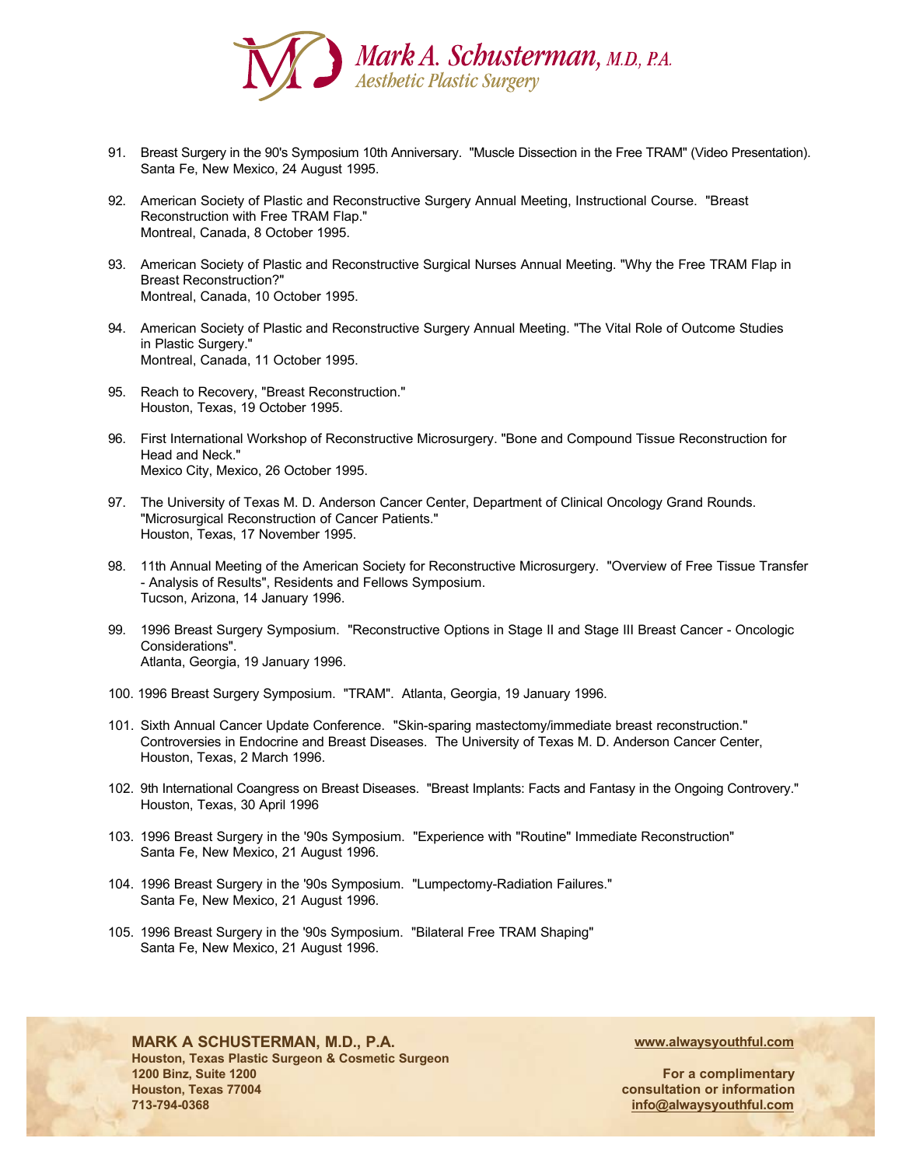

- 91. Breast Surgery in the 90's Symposium 10th Anniversary. "Muscle Dissection in the Free TRAM" (Video Presentation). Santa Fe, New Mexico, 24 August 1995.
- 92. American Society of Plastic and Reconstructive Surgery Annual Meeting, Instructional Course. "Breast Reconstruction with Free TRAM Flap." Montreal, Canada, 8 October 1995.
- 93. American Society of Plastic and Reconstructive Surgical Nurses Annual Meeting. "Why the Free TRAM Flap in Breast Reconstruction?" Montreal, Canada, 10 October 1995.
- 94. American Society of Plastic and Reconstructive Surgery Annual Meeting. "The Vital Role of Outcome Studies in Plastic Surgery." Montreal, Canada, 11 October 1995.
- 95. Reach to Recovery, "Breast Reconstruction." Houston, Texas, 19 October 1995.
- 96. First International Workshop of Reconstructive Microsurgery. "Bone and Compound Tissue Reconstruction for Head and Neck." Mexico City, Mexico, 26 October 1995.
- 97. The University of Texas M. D. Anderson Cancer Center, Department of Clinical Oncology Grand Rounds. "Microsurgical Reconstruction of Cancer Patients." Houston, Texas, 17 November 1995.
- 98. 11th Annual Meeting of the American Society for Reconstructive Microsurgery. "Overview of Free Tissue Transfer - Analysis of Results", Residents and Fellows Symposium. Tucson, Arizona, 14 January 1996.
- 99. 1996 Breast Surgery Symposium. "Reconstructive Options in Stage II and Stage III Breast Cancer Oncologic Considerations". Atlanta, Georgia, 19 January 1996.
- 100. 1996 Breast Surgery Symposium. "TRAM". Atlanta, Georgia, 19 January 1996.
- 101. Sixth Annual Cancer Update Conference. "Skin-sparing mastectomy/immediate breast reconstruction." Controversies in Endocrine and Breast Diseases. The University of Texas M. D. Anderson Cancer Center, Houston, Texas, 2 March 1996.
- 102. 9th International Coangress on Breast Diseases. "Breast Implants: Facts and Fantasy in the Ongoing Controvery." Houston, Texas, 30 April 1996
- 103. 1996 Breast Surgery in the '90s Symposium. "Experience with "Routine" Immediate Reconstruction" Santa Fe, New Mexico, 21 August 1996.
- 104. 1996 Breast Surgery in the '90s Symposium. "Lumpectomy-Radiation Failures." Santa Fe, New Mexico, 21 August 1996.
- 105. 1996 Breast Surgery in the '90s Symposium. "Bilateral Free TRAM Shaping" Santa Fe, New Mexico, 21 August 1996.



**713-794-0368**

#### **MARK A SCHUSTERMAN, M.D., P.A. Houston, Texas Plastic Surgeon & Cosmetic Surgeon 1200 Binz, Suite 1200 Houston, Texas 77004**

**www.alwaysyouthful.com**